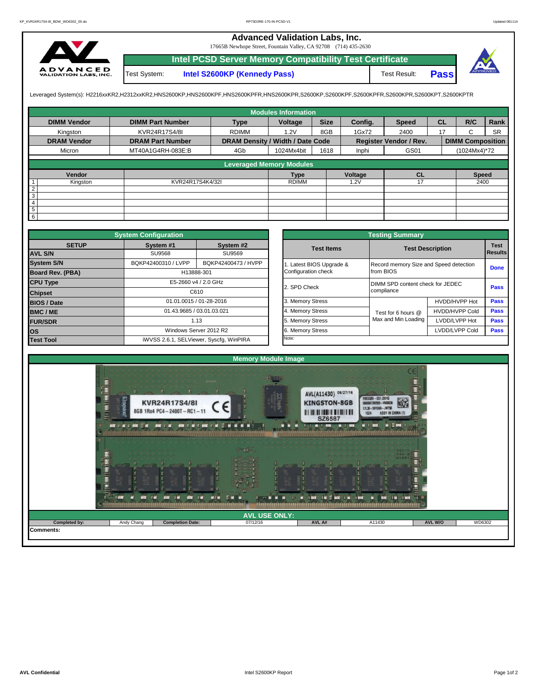## **Advanced Validation Labs, Inc.**

17665B Newhope Street, Fountain Valley, CA 92708 (714) 435-2630



Test System: **Intel S2600KP (Kennedy Pass)** Test Result: **Intel PCSD Server Memory Compatibility Test Certificate Pass**



Leveraged System(s): H2216xxKR2,H2312xxKR2,HNS2600KP,HNS2600KPF,HNS2600KPFR,HNS2600KPR,S2600KP,S2600KPF,S2600KPFR,S2600KPR,S2600KPT,S2600KPTR

|                    |                         |                                  | <b>Modules Information</b> |             |         |                        |           |                         |           |
|--------------------|-------------------------|----------------------------------|----------------------------|-------------|---------|------------------------|-----------|-------------------------|-----------|
| <b>DIMM Vendor</b> | <b>DIMM Part Number</b> | <b>Type</b>                      | Voltage                    | <b>Size</b> | Config. | <b>Speed</b>           | <b>CL</b> | R/C                     | Rank      |
| Kingston           | KVR24R17S4/8I           | <b>RDIMM</b>                     | 1.2V                       | 8GB         | 1Gx72   | 2400                   | 17        | $\sim$<br>ι.            | <b>SR</b> |
| <b>DRAM Vendor</b> | <b>DRAM Part Number</b> | DRAM Density / Width / Date Code |                            |             |         | Register Vendor / Rev. |           | <b>DIMM Composition</b> |           |
| Micron             | MT40A1G4RH-083E:B       | 4Gb                              | 1024Mx4bit                 | 1618        | Inphi   | GS01                   |           | (1024Mx4)*72            |           |
|                    |                         | <b>Leveraged Memory Modules</b>  |                            |             |         |                        |           |                         |           |
|                    |                         |                                  |                            |             |         |                        |           |                         |           |
| Vendor             |                         |                                  | <b>Type</b>                |             | Voltage | CL                     |           | <b>Speed</b>            |           |
| Kingston           | KVR24R17S4K4/32I        |                                  | <b>RDIMM</b>               |             | 1.2V    | 17                     |           | 2400                    |           |
| $rac{2}{3}$        |                         |                                  |                            |             |         |                        |           |                         |           |
|                    |                         |                                  |                            |             |         |                        |           |                         |           |
| $\overline{4}$     |                         |                                  |                            |             |         |                        |           |                         |           |
| $\overline{5}$     |                         |                                  |                            |             |         |                        |           |                         |           |
| $6\overline{6}$    |                         |                                  |                            |             |         |                        |           |                         |           |

|                                         | <b>System Configuration</b>                |                                         |                       |                                        | <b>Testing Summary</b> |                                  |             |  |  |
|-----------------------------------------|--------------------------------------------|-----------------------------------------|-----------------------|----------------------------------------|------------------------|----------------------------------|-------------|--|--|
| <b>SETUP</b>                            | System #1                                  | System #2                               |                       | <b>Test Items</b>                      |                        | <b>Test Description</b>          | <b>Test</b> |  |  |
| <b>AVL S/N</b>                          | SU9568                                     | SU9569                                  |                       |                                        |                        |                                  | Results     |  |  |
| <b>System S/N</b>                       | BQKP42400310 / LVPP<br>BQKP42400473 / HVPP |                                         | Latest BIOS Upgrade & | Record memory Size and Speed detection |                        |                                  |             |  |  |
| <b>Board Rev. (PBA)</b>                 | H13888-301                                 |                                         |                       |                                        | from BIOS              |                                  |             |  |  |
| <b>CPU Type</b><br>E5-2660 v4 / 2.0 GHz |                                            |                                         |                       | 2. SPD Check                           |                        | DIMM SPD content check for JEDEC |             |  |  |
| <b>Chipset</b>                          | C610                                       |                                         |                       |                                        | compliance             |                                  | Pass        |  |  |
| <b>BIOS / Date</b>                      |                                            | 01.01.0015 / 01-28-2016                 |                       | 3. Memory Stress                       |                        | HVDD/HVPP Hot                    | <b>Pass</b> |  |  |
| <b>BMC/ME</b>                           |                                            | 01.43.9685 / 03.01.03.021               |                       | 4. Memory Stress                       | Test for 6 hours @     | <b>HVDD/HVPP Cold</b>            | <b>Pass</b> |  |  |
| <b>FUR/SDR</b>                          |                                            | 1.13                                    |                       | 5. Memory Stress                       | Max and Min Loading    | LVDD/LVPP Hot                    | <b>Pass</b> |  |  |
| <b>los</b>                              |                                            | Windows Server 2012 R2                  |                       | 6. Memory Stress                       |                        | LVDD/LVPP Cold                   | Pass        |  |  |
| <b>Test Tool</b>                        |                                            | iWVSS 2.6.1, SELViewer, Syscfq, WinPIRA |                       | Note:                                  |                        |                                  |             |  |  |

|              | <b>System Configuration</b> |                                         |                       | <b>Testing Summary</b>                 |                       |                |
|--------------|-----------------------------|-----------------------------------------|-----------------------|----------------------------------------|-----------------------|----------------|
| <b>SETUP</b> | System #1                   | System #2                               | <b>Test Items</b>     | <b>Test Description</b>                |                       | <b>Test</b>    |
|              | <b>SU9568</b>               | SU9569                                  |                       |                                        |                       | <b>Results</b> |
|              | BQKP42400310 / LVPP         | BQKP42400473 / HVPP                     | Latest BIOS Upgrade & | Record memory Size and Speed detection |                       |                |
| PBA)         |                             | H13888-301                              | Configuration check   | from BIOS                              |                       | <b>Done</b>    |
|              |                             | E5-2660 v4 / 2.0 GHz                    | 2. SPD Check          | DIMM SPD content check for JEDEC       |                       | Pass           |
|              |                             | C610                                    |                       | compliance                             |                       |                |
|              |                             | 01.01.0015 / 01-28-2016                 | 3. Memory Stress      |                                        | HVDD/HVPP Hot         | Pass           |
|              | 01.43.9685 / 03.01.03.021   |                                         | 4. Memory Stress      | Test for 6 hours @                     | <b>HVDD/HVPP Cold</b> | Pass           |
|              |                             | 1.13                                    |                       | Max and Min Loading                    | LVDD/LVPP Hot         | Pass           |
|              |                             | Windows Server 2012 R2                  | 6. Memory Stress      |                                        | LVDD/LVPP Cold        | Pass           |
|              |                             | iWVSS 2.6.1, SELViewer, Syscfq, WinPIRA | Note:                 |                                        |                       |                |

|                     |                                                                                       | <b>Memory Module Image</b> |                                                                                                                                         |                                                                                                              |  |
|---------------------|---------------------------------------------------------------------------------------|----------------------------|-----------------------------------------------------------------------------------------------------------------------------------------|--------------------------------------------------------------------------------------------------------------|--|
| Ķш<br>$-400$<br>n N | <b>KVR24R17S4/8I</b><br>8GB 1Rx4 PC4-2400T-RC1-11<br><b>HW</b> = M =<br><b>HW = M</b> | <b>BINZA</b>               | AVL(A11430) 06/27/16<br><b>KINGSTON-8GB</b><br><b>III III III IIII IIIIIIIIIII</b><br>SZ6587<br><b>MILLER WAS</b><br><b>MILLEY ROOM</b> | 252<br>9965589-031.001G<br>MO7392555-I<br>X7L30 - 59YUKA - JW758<br>1624<br>ASSY IN CH<br>N E<br><b>Food</b> |  |
|                     |                                                                                       | $5 - 16$                   | <b>TIME EM</b><br>.<br>Em                                                                                                               |                                                                                                              |  |
|                     |                                                                                       | <b>AVL USE ONLY:</b>       |                                                                                                                                         |                                                                                                              |  |
|                     |                                                                                       |                            |                                                                                                                                         |                                                                                                              |  |